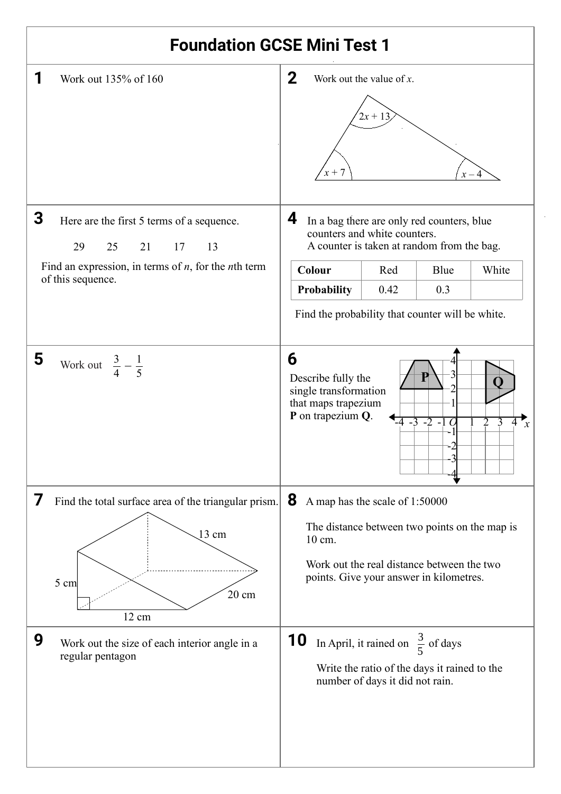| <b>Foundation GCSE Mini Test 1</b>                                                                                                     |                                                                                                                                              |  |  |
|----------------------------------------------------------------------------------------------------------------------------------------|----------------------------------------------------------------------------------------------------------------------------------------------|--|--|
| Work out 135% of 160                                                                                                                   | $\mathbf{2}$<br>Work out the value of $x$ .<br>$2x + 13$<br>$x + 7$<br>$x - 4$                                                               |  |  |
| 3<br>Here are the first 5 terms of a sequence.<br>21 17<br>29<br>25<br>13<br>Find an expression, in terms of $n$ , for the $n$ th term | 4<br>In a bag there are only red counters, blue<br>counters and white counters.<br>A counter is taken at random from the bag.                |  |  |
| of this sequence.                                                                                                                      | Colour<br>Red<br>Blue<br>White                                                                                                               |  |  |
|                                                                                                                                        | 0.3<br><b>Probability</b><br>0.42<br>Find the probability that counter will be white.                                                        |  |  |
| 5<br>Work out $\frac{3}{4} - \frac{1}{5}$                                                                                              | 6<br>Describe fully the<br>single transformation<br>that maps trapezium<br>P on trapezium Q.<br>-4 -3 -2 -1 C<br>$\mathcal{X}$               |  |  |
| 7<br>Find the total surface area of the triangular prism.<br>13 cm                                                                     | 8<br>A map has the scale of 1:50000<br>The distance between two points on the map is<br>10 cm.                                               |  |  |
| 5 cm<br>$20 \text{ cm}$<br>12 cm                                                                                                       | Work out the real distance between the two<br>points. Give your answer in kilometres.                                                        |  |  |
| 9<br>Work out the size of each interior angle in a<br>regular pentagon                                                                 | <b>10</b><br>In April, it rained on $\frac{3}{5}$ of days<br>Write the ratio of the days it rained to the<br>number of days it did not rain. |  |  |